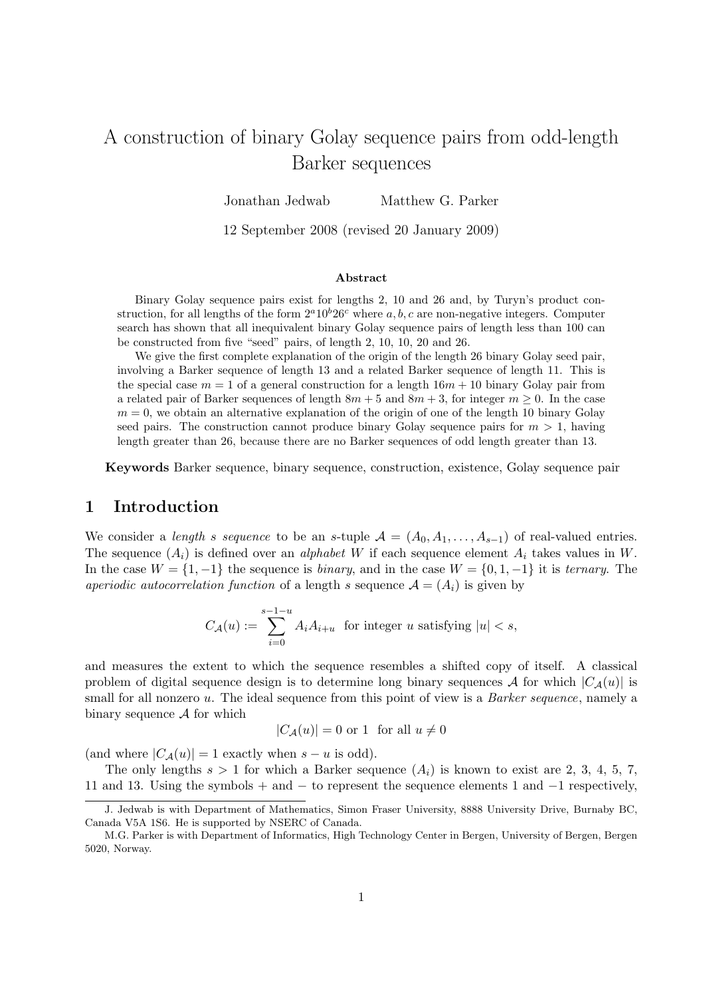# A construction of binary Golay sequence pairs from odd-length Barker sequences

Jonathan Jedwab Matthew G. Parker

12 September 2008 (revised 20 January 2009)

#### Abstract

Binary Golay sequence pairs exist for lengths 2, 10 and 26 and, by Turyn's product construction, for all lengths of the form  $2^a10^b26^c$  where a, b, c are non-negative integers. Computer search has shown that all inequivalent binary Golay sequence pairs of length less than 100 can be constructed from five "seed" pairs, of length 2, 10, 10, 20 and 26.

We give the first complete explanation of the origin of the length 26 binary Golay seed pair, involving a Barker sequence of length 13 and a related Barker sequence of length 11. This is the special case  $m = 1$  of a general construction for a length  $16m + 10$  binary Golay pair from a related pair of Barker sequences of length  $8m + 5$  and  $8m + 3$ , for integer  $m \ge 0$ . In the case  $m = 0$ , we obtain an alternative explanation of the origin of one of the length 10 binary Golay seed pairs. The construction cannot produce binary Golay sequence pairs for  $m > 1$ , having length greater than 26, because there are no Barker sequences of odd length greater than 13.

Keywords Barker sequence, binary sequence, construction, existence, Golay sequence pair

### 1 Introduction

We consider a length s sequence to be an s-tuple  $A = (A_0, A_1, \ldots, A_{s-1})$  of real-valued entries. The sequence  $(A_i)$  is defined over an *alphabet W* if each sequence element  $A_i$  takes values in W. In the case  $W = \{1, -1\}$  the sequence is *binary*, and in the case  $W = \{0, 1, -1\}$  it is *ternary*. The aperiodic autocorrelation function of a length s sequence  $\mathcal{A} = (A_i)$  is given by

$$
C_{\mathcal{A}}(u) := \sum_{i=0}^{s-1-u} A_i A_{i+u} \text{ for integer } u \text{ satisfying } |u| < s,
$$

and measures the extent to which the sequence resembles a shifted copy of itself. A classical problem of digital sequence design is to determine long binary sequences A for which  $|C_A(u)|$  is small for all nonzero u. The ideal sequence from this point of view is a *Barker sequence*, namely a binary sequence  $A$  for which

$$
|C_{\mathcal{A}}(u)| = 0 \text{ or } 1 \text{ for all } u \neq 0
$$

(and where  $|C_{\mathcal{A}}(u)| = 1$  exactly when  $s - u$  is odd).

The only lengths  $s > 1$  for which a Barker sequence  $(A_i)$  is known to exist are 2, 3, 4, 5, 7, 11 and 13. Using the symbols + and − to represent the sequence elements 1 and −1 respectively,

J. Jedwab is with Department of Mathematics, Simon Fraser University, 8888 University Drive, Burnaby BC, Canada V5A 1S6. He is supported by NSERC of Canada.

M.G. Parker is with Department of Informatics, High Technology Center in Bergen, University of Bergen, Bergen 5020, Norway.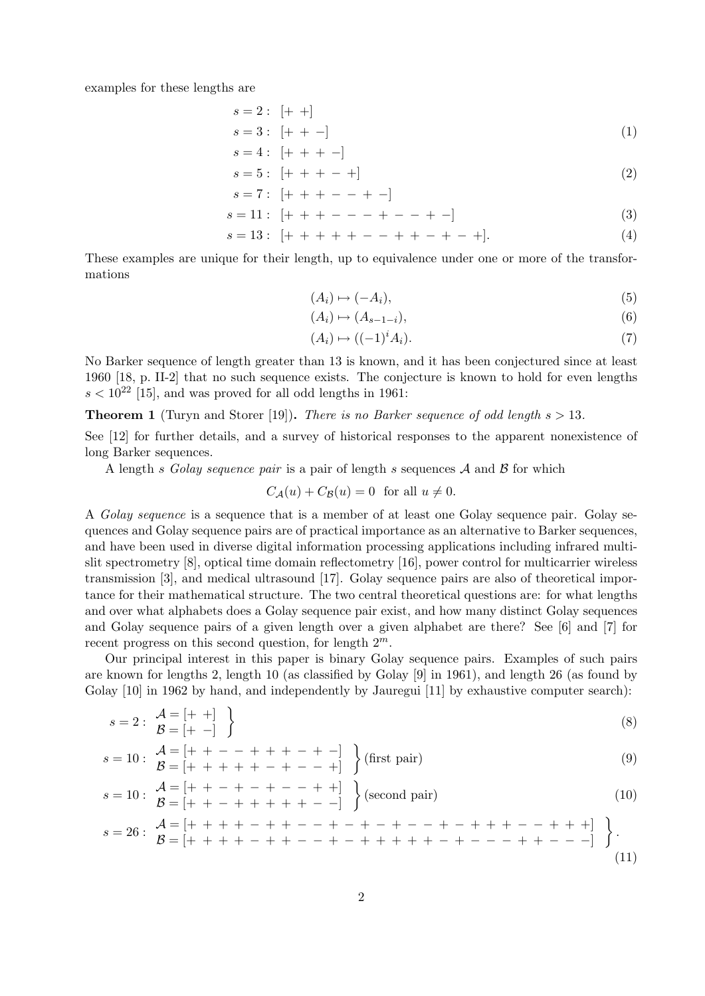examples for these lengths are

$$
s = 2: \left[ + + \right]
$$
  
\n
$$
s = 3: \left[ + + - \right]
$$
  
\n
$$
s = 4: \left[ + + + - \right]
$$
  
\n(1)

s = 5 : [+ + + − +] (2)

$$
s = 7: [ + + + - - + -]
$$

$$
s = 11: \; [++ + - - - + - - + -] \tag{3}
$$

$$
s = 13: \; [+ + + + + - - + + + - +] \tag{4}
$$

These examples are unique for their length, up to equivalence under one or more of the transformations

$$
(A_i) \mapsto (-A_i), \tag{5}
$$

$$
(A_i) \mapsto (A_{s-1-i}),\tag{6}
$$

$$
(A_i) \mapsto ((-1)^i A_i). \tag{7}
$$

No Barker sequence of length greater than 13 is known, and it has been conjectured since at least 1960 [18, p. II-2] that no such sequence exists. The conjecture is known to hold for even lengths  $s < 10^{22}$  [15], and was proved for all odd lengths in 1961:

**Theorem 1** (Turyn and Storer [19]). There is no Barker sequence of odd length  $s > 13$ .

See [12] for further details, and a survey of historical responses to the apparent nonexistence of long Barker sequences.

A length s Golay sequence pair is a pair of length s sequences  $A$  and  $B$  for which

 $C_A(u) + C_B(u) = 0$  for all  $u \neq 0$ .

A Golay sequence is a sequence that is a member of at least one Golay sequence pair. Golay sequences and Golay sequence pairs are of practical importance as an alternative to Barker sequences, and have been used in diverse digital information processing applications including infrared multislit spectrometry [8], optical time domain reflectometry [16], power control for multicarrier wireless transmission [3], and medical ultrasound [17]. Golay sequence pairs are also of theoretical importance for their mathematical structure. The two central theoretical questions are: for what lengths and over what alphabets does a Golay sequence pair exist, and how many distinct Golay sequences and Golay sequence pairs of a given length over a given alphabet are there? See [6] and [7] for recent progress on this second question, for length  $2^m$ .

Our principal interest in this paper is binary Golay sequence pairs. Examples of such pairs are known for lengths 2, length 10 (as classified by Golay [9] in 1961), and length 26 (as found by Golay [10] in 1962 by hand, and independently by Jauregui [11] by exhaustive computer search):

$$
s = 2: \begin{array}{c} A = [+ +] \\ B = [+ -] \end{array}
$$
 (8)

$$
s = 10: \begin{array}{c} A = [+ + - - + + + - + -] \\ B = [+ + + + + - + - - +] \end{array} \text{ (first pair)}
$$
 (9)

$$
s = 10: \begin{array}{l} A = \left[ + + - + - + - - + + \right] \\ B = \left[ + + - + + + + + - - \right] \end{array} \begin{array}{c} \text{(second pair)} \end{array} \tag{10}
$$

$$
s = 26: \begin{array}{l} \mathcal{A} = [+ + + + - + + - - + - + - + - + - + + + + - - + + + +] \\ \mathcal{B} = [+ + + + - + + + - - + + + + + + + + - + - - - + + + - - -] \end{array} \bigg\}.
$$
\n
$$
(11)
$$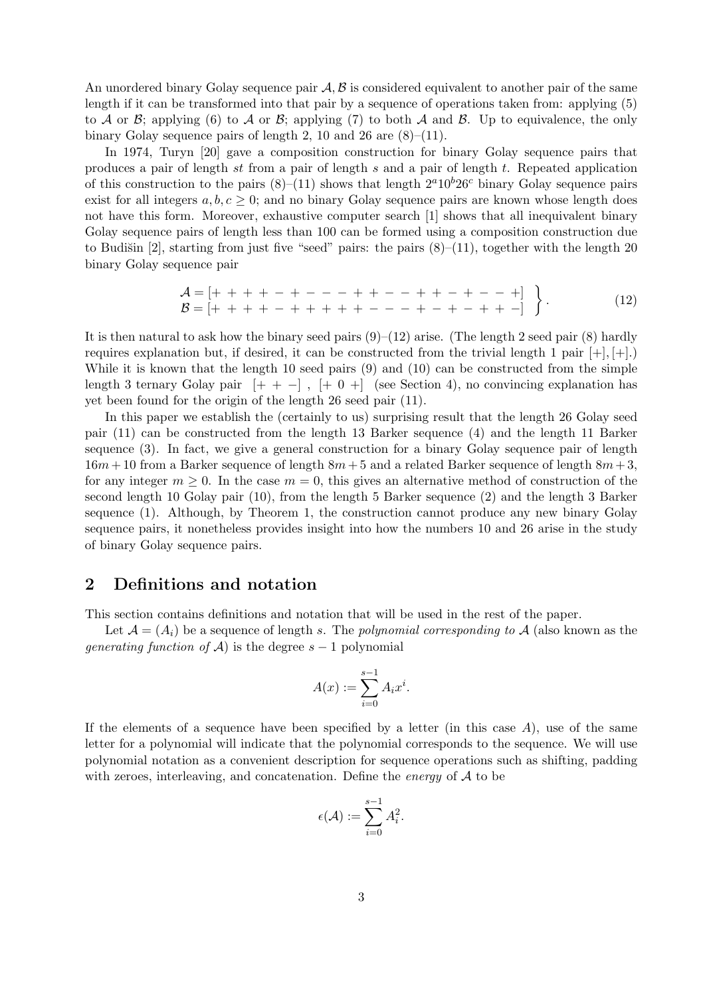An unordered binary Golay sequence pair  $\mathcal{A}, \mathcal{B}$  is considered equivalent to another pair of the same length if it can be transformed into that pair by a sequence of operations taken from: applying (5) to A or B; applying (6) to A or B; applying (7) to both A and B. Up to equivalence, the only binary Golay sequence pairs of length 2, 10 and 26 are  $(8)$ – $(11)$ .

In 1974, Turyn [20] gave a composition construction for binary Golay sequence pairs that produces a pair of length st from a pair of length s and a pair of length t. Repeated application of this construction to the pairs  $(8)$ –(11) shows that length  $2^a10^b26^c$  binary Golay sequence pairs exist for all integers  $a, b, c \geq 0$ ; and no binary Golay sequence pairs are known whose length does not have this form. Moreover, exhaustive computer search [1] shows that all inequivalent binary Golay sequence pairs of length less than 100 can be formed using a composition construction due to Budišin [2], starting from just five "seed" pairs: the pairs  $(8)-(11)$ , together with the length 20 binary Golay sequence pair

$$
\mathcal{A} = [+ + + + - + - - + + + - - + + - - +] \n\mathcal{B} = [+ + + + - + + + + + + - - - + - + - + - + + -] \n\}
$$
\n(12)

It is then natural to ask how the binary seed pairs  $(9)$ – $(12)$  arise. (The length 2 seed pair  $(8)$  hardly requires explanation but, if desired, it can be constructed from the trivial length 1 pair  $[+], [+]$ . While it is known that the length 10 seed pairs (9) and (10) can be constructed from the simple length 3 ternary Golay pair  $[+ + -]$ ,  $[+ 0 +]$  (see Section 4), no convincing explanation has yet been found for the origin of the length 26 seed pair (11).

In this paper we establish the (certainly to us) surprising result that the length 26 Golay seed pair (11) can be constructed from the length 13 Barker sequence (4) and the length 11 Barker sequence (3). In fact, we give a general construction for a binary Golay sequence pair of length  $16m + 10$  from a Barker sequence of length  $8m + 5$  and a related Barker sequence of length  $8m + 3$ , for any integer  $m \geq 0$ . In the case  $m = 0$ , this gives an alternative method of construction of the second length 10 Golay pair (10), from the length 5 Barker sequence (2) and the length 3 Barker sequence (1). Although, by Theorem 1, the construction cannot produce any new binary Golay sequence pairs, it nonetheless provides insight into how the numbers 10 and 26 arise in the study of binary Golay sequence pairs.

#### 2 Definitions and notation

This section contains definitions and notation that will be used in the rest of the paper.

Let  $\mathcal{A} = (A_i)$  be a sequence of length s. The polynomial corresponding to A (also known as the *generating function of*  $\mathcal{A}$ ) is the degree  $s - 1$  polynomial

$$
A(x) := \sum_{i=0}^{s-1} A_i x^i.
$$

If the elements of a sequence have been specified by a letter (in this case  $A$ ), use of the same letter for a polynomial will indicate that the polynomial corresponds to the sequence. We will use polynomial notation as a convenient description for sequence operations such as shifting, padding with zeroes, interleaving, and concatenation. Define the *energy* of  $A$  to be

$$
\epsilon({\mathcal A}):=\sum_{i=0}^{s-1}A_i^2.
$$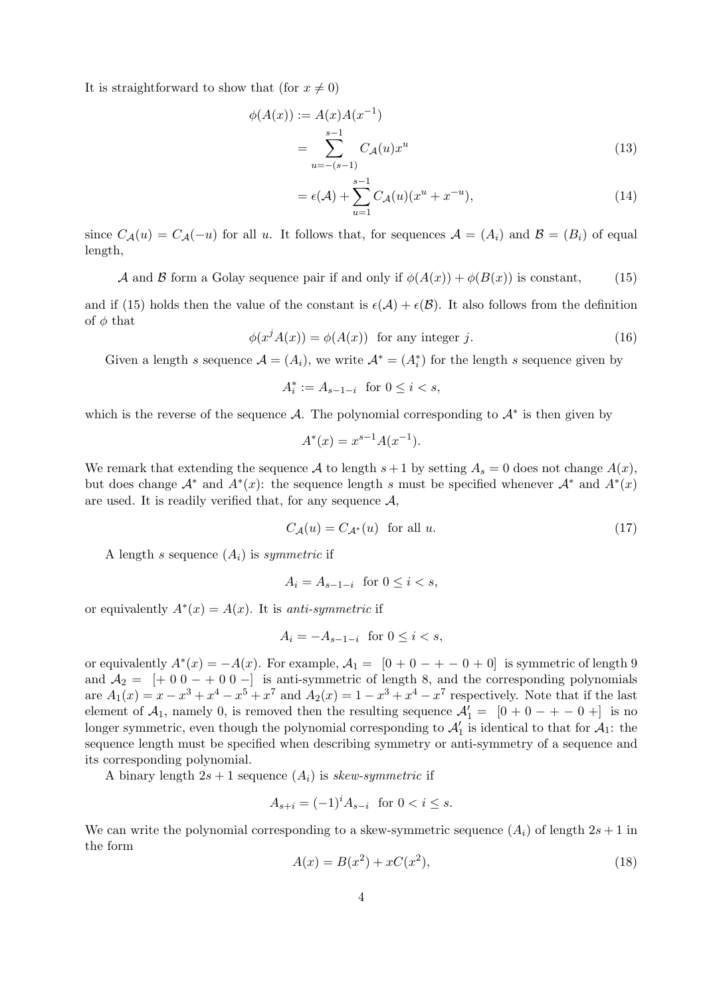It is straightforward to show that (for  $x \neq 0$ )

$$
\phi(A(x)) := A(x)A(x^{-1})
$$
  
= 
$$
\sum_{u=-(s-1)}^{s-1} C_A(u)x^u
$$
 (13)

$$
= \epsilon(\mathcal{A}) + \sum_{u=1}^{s-1} C_{\mathcal{A}}(u)(x^u + x^{-u}), \tag{14}
$$

since  $C_{\mathcal{A}}(u) = C_{\mathcal{A}}(-u)$  for all u. It follows that, for sequences  $\mathcal{A} = (A_i)$  and  $\mathcal{B} = (B_i)$  of equal length,

A and B form a Golay sequence pair if and only if  $\phi(A(x)) + \phi(B(x))$  is constant, (15)

and if (15) holds then the value of the constant is  $\epsilon(A) + \epsilon(B)$ . It also follows from the definition of  $\phi$  that

 $\phi(x^{j} A(x)) = \phi(A(x))$  for any integer j. (16)

Given a length s sequence  $\mathcal{A} = (A_i)$ , we write  $\mathcal{A}^* = (A_i^*)$  for the length s sequence given by

$$
A_i^* := A_{s-1-i} \quad \text{for } 0 \le i < s,
$$

which is the reverse of the sequence A. The polynomial corresponding to  $\mathcal{A}^*$  is then given by

$$
A^*(x) = x^{s-1}A(x^{-1}).
$$

We remark that extending the sequence A to length  $s+1$  by setting  $A_s = 0$  does not change  $A(x)$ , but does change  $\mathcal{A}^*$  and  $A^*(x)$ : the sequence length s must be specified whenever  $\mathcal{A}^*$  and  $A^*(x)$ are used. It is readily verified that, for any sequence  $\mathcal{A}$ ,

$$
C_{\mathcal{A}}(u) = C_{\mathcal{A}^*}(u) \quad \text{for all } u. \tag{17}
$$

A length s sequence  $(A_i)$  is symmetric if

$$
A_i = A_{s-1-i} \text{ for } 0 \le i < s,
$$

or equivalently  $A^*(x) = A(x)$ . It is anti-symmetric if

$$
A_i = -A_{s-1-i} \text{ for } 0 \le i < s,
$$

or equivalently  $A^*(x) = -A(x)$ . For example,  $A_1 = [0 + 0 - + - 0 + 0]$  is symmetric of length 9 and  $A_2 = \begin{bmatrix} + & 0 & 0 & - & 0 & 0 & - \end{bmatrix}$  is anti-symmetric of length 8, and the corresponding polynomials are  $A_1(x) = x - x^3 + x^4 - x^5 + x^7$  and  $A_2(x) = 1 - x^3 + x^4 - x^7$  respectively. Note that if the last element of  $A_1$ , namely 0, is removed then the resulting sequence  $A'_1 = [0 + 0 - + - 0 +]$  is no longer symmetric, even though the polynomial corresponding to  $\mathcal{A}'_1$  is identical to that for  $\mathcal{A}_1$ : the sequence length must be specified when describing symmetry or anti-symmetry of a sequence and its corresponding polynomial.

A binary length  $2s + 1$  sequence  $(A_i)$  is skew-symmetric if

$$
A_{s+i} = (-1)^i A_{s-i} \text{ for } 0 < i \le s.
$$

We can write the polynomial corresponding to a skew-symmetric sequence  $(A_i)$  of length  $2s + 1$  in the form

$$
A(x) = B(x^2) + xC(x^2),
$$
\n(18)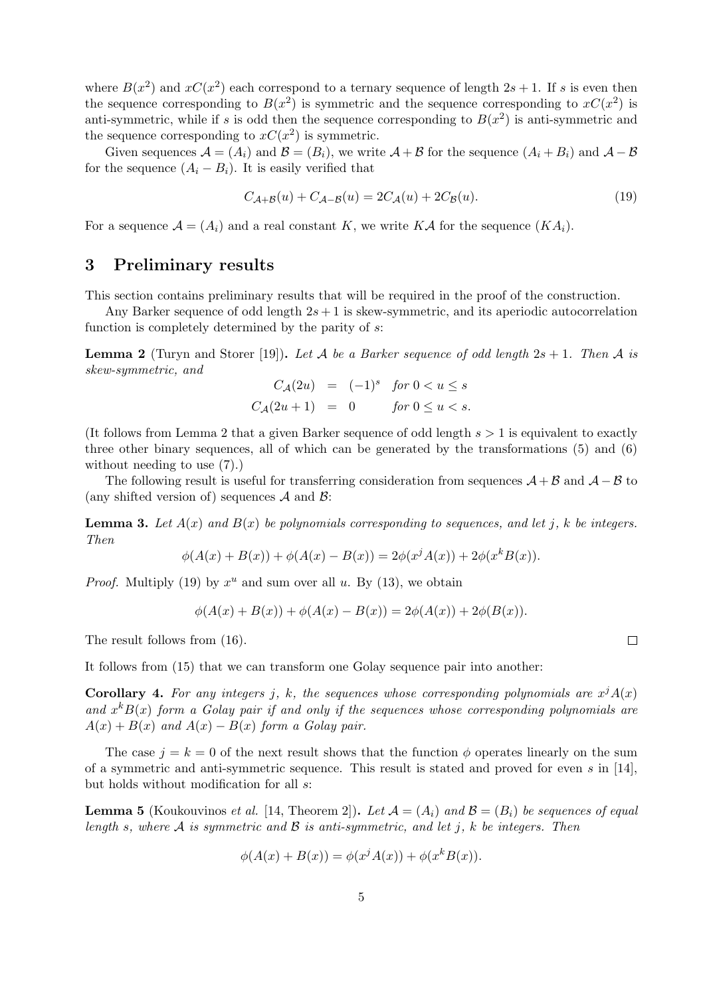where  $B(x^2)$  and  $xC(x^2)$  each correspond to a ternary sequence of length  $2s + 1$ . If s is even then the sequence corresponding to  $B(x^2)$  is symmetric and the sequence corresponding to  $xC(x^2)$  is anti-symmetric, while if s is odd then the sequence corresponding to  $B(x^2)$  is anti-symmetric and the sequence corresponding to  $xC(x^2)$  is symmetric.

Given sequences  $\mathcal{A} = (A_i)$  and  $\mathcal{B} = (B_i)$ , we write  $\mathcal{A} + \mathcal{B}$  for the sequence  $(A_i + B_i)$  and  $\mathcal{A} - \mathcal{B}$ for the sequence  $(A_i - B_i)$ . It is easily verified that

$$
C_{\mathcal{A}+\mathcal{B}}(u) + C_{\mathcal{A}-\mathcal{B}}(u) = 2C_{\mathcal{A}}(u) + 2C_{\mathcal{B}}(u). \tag{19}
$$

For a sequence  $\mathcal{A} = (A_i)$  and a real constant K, we write KA for the sequence  $(KA_i)$ .

# 3 Preliminary results

This section contains preliminary results that will be required in the proof of the construction.

Any Barker sequence of odd length  $2s + 1$  is skew-symmetric, and its aperiodic autocorrelation function is completely determined by the parity of s:

**Lemma 2** (Turyn and Storer [19]). Let A be a Barker sequence of odd length  $2s + 1$ . Then A is skew-symmetric, and

$$
C_{\mathcal{A}}(2u) = (-1)^s \quad \text{for } 0 < u \le s
$$
\n
$$
C_{\mathcal{A}}(2u+1) = 0 \quad \text{for } 0 \le u < s.
$$

(It follows from Lemma 2 that a given Barker sequence of odd length  $s > 1$  is equivalent to exactly three other binary sequences, all of which can be generated by the transformations (5) and (6) without needing to use (7).)

The following result is useful for transferring consideration from sequences  $A + B$  and  $A - B$  to (any shifted version of) sequences  $A$  and  $B$ :

**Lemma 3.** Let  $A(x)$  and  $B(x)$  be polynomials corresponding to sequences, and let j, k be integers. Then

$$
\phi(A(x) + B(x)) + \phi(A(x) - B(x)) = 2\phi(x^{j}A(x)) + 2\phi(x^{k}B(x)).
$$

*Proof.* Multiply (19) by  $x^u$  and sum over all u. By (13), we obtain

$$
\phi(A(x) + B(x)) + \phi(A(x) - B(x)) = 2\phi(A(x)) + 2\phi(B(x)).
$$

The result follows from (16).

It follows from (15) that we can transform one Golay sequence pair into another:

**Corollary 4.** For any integers j, k, the sequences whose corresponding polynomials are  $x^{j}A(x)$ and  $x^k B(x)$  form a Golay pair if and only if the sequences whose corresponding polynomials are  $A(x) + B(x)$  and  $A(x) - B(x)$  form a Golay pair.

The case  $j = k = 0$  of the next result shows that the function  $\phi$  operates linearly on the sum of a symmetric and anti-symmetric sequence. This result is stated and proved for even  $s$  in [14], but holds without modification for all s:

**Lemma 5** (Koukouvinos *et al.* [14, Theorem 2]). Let  $\mathcal{A} = (A_i)$  and  $\mathcal{B} = (B_i)$  be sequences of equal length s, where A is symmetric and B is anti-symmetric, and let j, k be integers. Then

$$
\phi(A(x) + B(x)) = \phi(x^j A(x)) + \phi(x^k B(x)).
$$

 $\Box$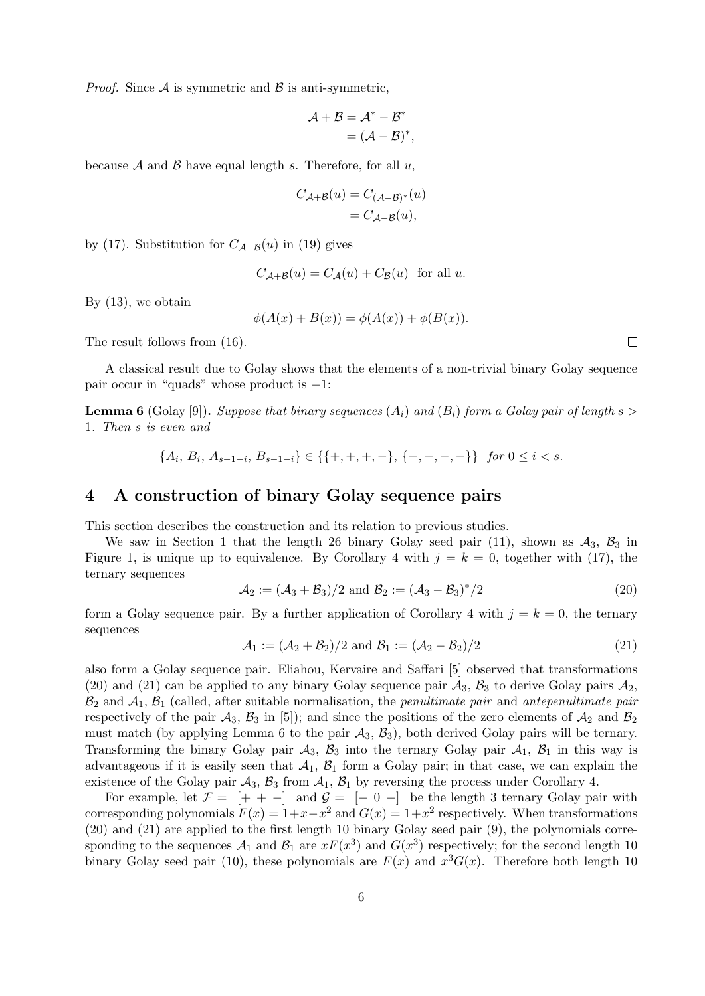*Proof.* Since  $\mathcal A$  is symmetric and  $\mathcal B$  is anti-symmetric,

$$
\mathcal{A} + \mathcal{B} = \mathcal{A}^* - \mathcal{B}^*
$$

$$
= (\mathcal{A} - \mathcal{B})^*,
$$

because A and B have equal length s. Therefore, for all  $u$ ,

$$
C_{\mathcal{A}+\mathcal{B}}(u) = C_{(\mathcal{A}-\mathcal{B})^*}(u)
$$
  
=  $C_{\mathcal{A}-\mathcal{B}}(u)$ ,

by (17). Substitution for  $C_{\mathcal{A}-\mathcal{B}}(u)$  in (19) gives

$$
C_{\mathcal{A}+\mathcal{B}}(u) = C_{\mathcal{A}}(u) + C_{\mathcal{B}}(u) \text{ for all } u.
$$

By (13), we obtain

$$
\phi(A(x) + B(x)) = \phi(A(x)) + \phi(B(x)).
$$

The result follows from (16).

A classical result due to Golay shows that the elements of a non-trivial binary Golay sequence pair occur in "quads" whose product is −1:

**Lemma 6** (Golay [9]). Suppose that binary sequences  $(A_i)$  and  $(B_i)$  form a Golay pair of length s > 1. Then s is even and

$$
\{A_i, B_i, A_{s-1-i}, B_{s-1-i}\} \in \{\{+, +, +, -\}, \{+, -, -, -\}\} \quad \text{for } 0 \le i < s.
$$

#### 4 A construction of binary Golay sequence pairs

This section describes the construction and its relation to previous studies.

We saw in Section 1 that the length 26 binary Golay seed pair (11), shown as  $A_3$ ,  $B_3$  in Figure 1, is unique up to equivalence. By Corollary 4 with  $j = k = 0$ , together with (17), the ternary sequences

$$
A_2 := (A_3 + B_3)/2 \text{ and } B_2 := (A_3 - B_3)^*/2 \tag{20}
$$

form a Golay sequence pair. By a further application of Corollary 4 with  $j = k = 0$ , the ternary sequences

$$
\mathcal{A}_1 := (\mathcal{A}_2 + \mathcal{B}_2)/2 \text{ and } \mathcal{B}_1 := (\mathcal{A}_2 - \mathcal{B}_2)/2 \tag{21}
$$

also form a Golay sequence pair. Eliahou, Kervaire and Saffari [5] observed that transformations (20) and (21) can be applied to any binary Golay sequence pair  $A_3$ ,  $B_3$  to derive Golay pairs  $A_2$ ,  $B_2$  and  $A_1$ ,  $B_1$  (called, after suitable normalisation, the *penultimate pair* and *antepenultimate pair* respectively of the pair  $\mathcal{A}_3$ ,  $\mathcal{B}_3$  in [5]); and since the positions of the zero elements of  $\mathcal{A}_2$  and  $\mathcal{B}_2$ must match (by applying Lemma 6 to the pair  $A_3$ ,  $B_3$ ), both derived Golay pairs will be ternary. Transforming the binary Golay pair  $A_3$ ,  $B_3$  into the ternary Golay pair  $A_1$ ,  $B_1$  in this way is advantageous if it is easily seen that  $A_1$ ,  $B_1$  form a Golay pair; in that case, we can explain the existence of the Golay pair  $A_3$ ,  $B_3$  from  $A_1$ ,  $B_1$  by reversing the process under Corollary 4.

For example, let  $\mathcal{F} = [+ + -]$  and  $\mathcal{G} = [+ 0 +]$  be the length 3 ternary Golay pair with corresponding polynomials  $F(x) = 1 + x - x^2$  and  $G(x) = 1 + x^2$  respectively. When transformations (20) and (21) are applied to the first length 10 binary Golay seed pair (9), the polynomials corresponding to the sequences  $\mathcal{A}_1$  and  $\mathcal{B}_1$  are  $xF(x^3)$  and  $G(x^3)$  respectively; for the second length 10 binary Golay seed pair (10), these polynomials are  $F(x)$  and  $x^3G(x)$ . Therefore both length 10

 $\Box$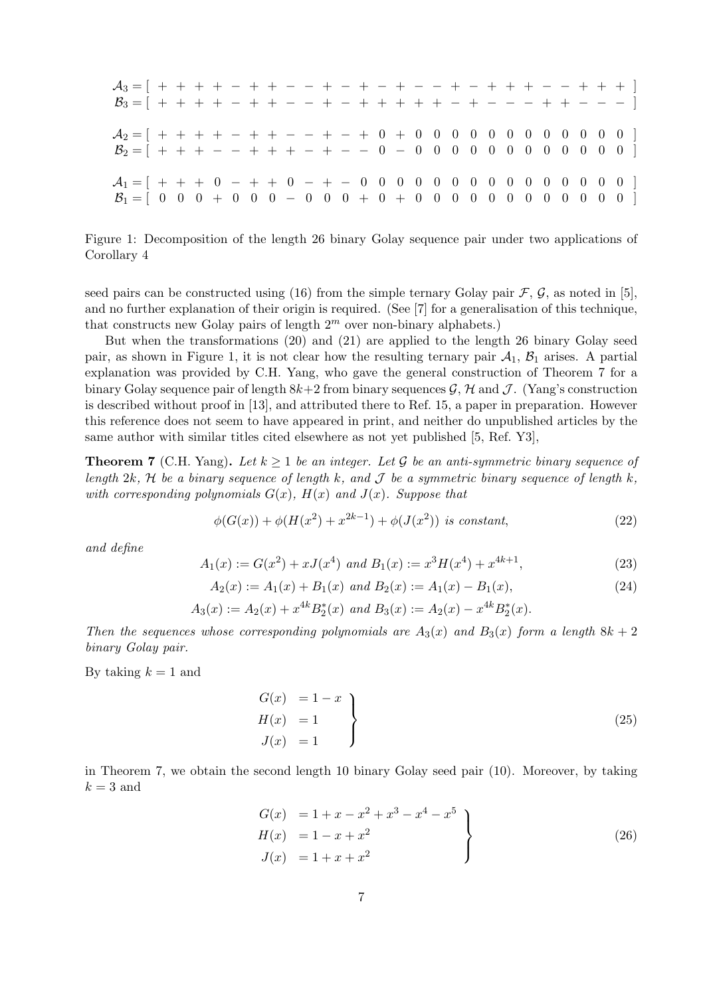| $B_3 = [ + + + + - + + - - + - + + + + + + - + - - - + + - - - ]$                                                                |  |  |  |  |  |  |  |  |  |  |  |  |  |  |
|----------------------------------------------------------------------------------------------------------------------------------|--|--|--|--|--|--|--|--|--|--|--|--|--|--|
| $A_2 = [ + + + + - + + - - + - + 0 + 0 0 0 0 0 0 0 0 0 0 0 0 ]$<br>$B_2 = [ + + + - - + + + - + - - 0 - 0 0 0 0 0 0 0 0 0 0 0 ]$ |  |  |  |  |  |  |  |  |  |  |  |  |  |  |
|                                                                                                                                  |  |  |  |  |  |  |  |  |  |  |  |  |  |  |

Figure 1: Decomposition of the length 26 binary Golay sequence pair under two applications of Corollary 4

seed pairs can be constructed using (16) from the simple ternary Golay pair  $\mathcal{F}, \mathcal{G}$ , as noted in [5], and no further explanation of their origin is required. (See [7] for a generalisation of this technique, that constructs new Golay pairs of length  $2^m$  over non-binary alphabets.)

But when the transformations (20) and (21) are applied to the length 26 binary Golay seed pair, as shown in Figure 1, it is not clear how the resulting ternary pair  $A_1$ ,  $B_1$  arises. A partial explanation was provided by C.H. Yang, who gave the general construction of Theorem 7 for a binary Golay sequence pair of length  $8k+2$  from binary sequences  $\mathcal{G}, \mathcal{H}$  and  $\mathcal{J}$ . (Yang's construction is described without proof in [13], and attributed there to Ref. 15, a paper in preparation. However this reference does not seem to have appeared in print, and neither do unpublished articles by the same author with similar titles cited elsewhere as not yet published [5, Ref. Y3],

**Theorem 7** (C.H. Yang). Let  $k \geq 1$  be an integer. Let G be an anti-symmetric binary sequence of length 2k, H be a binary sequence of length k, and J be a symmetric binary sequence of length k, with corresponding polynomials  $G(x)$ ,  $H(x)$  and  $J(x)$ . Suppose that

$$
\phi(G(x)) + \phi(H(x^{2}) + x^{2k-1}) + \phi(J(x^{2})) \text{ is constant,}
$$
\n(22)

and define

$$
A_1(x) := G(x^2) + xJ(x^4) \text{ and } B_1(x) := x^3 H(x^4) + x^{4k+1},
$$
\n(23)

$$
A_2(x) := A_1(x) + B_1(x) \text{ and } B_2(x) := A_1(x) - B_1(x), \tag{24}
$$

$$
A_3(x) := A_2(x) + x^{4k} B_2^*(x) \text{ and } B_3(x) := A_2(x) - x^{4k} B_2^*(x).
$$

Then the sequences whose corresponding polynomials are  $A_3(x)$  and  $B_3(x)$  form a length  $8k + 2$ binary Golay pair.

By taking  $k = 1$  and

$$
\begin{aligned}\nG(x) &= 1 - x \\
H(x) &= 1 \\
J(x) &= 1\n\end{aligned}
$$
\n(25)

in Theorem 7, we obtain the second length 10 binary Golay seed pair (10). Moreover, by taking  $k = 3$  and

$$
G(x) = 1 + x - x^{2} + x^{3} - x^{4} - x^{5}
$$
  
\n
$$
H(x) = 1 - x + x^{2}
$$
  
\n
$$
J(x) = 1 + x + x^{2}
$$
\n(26)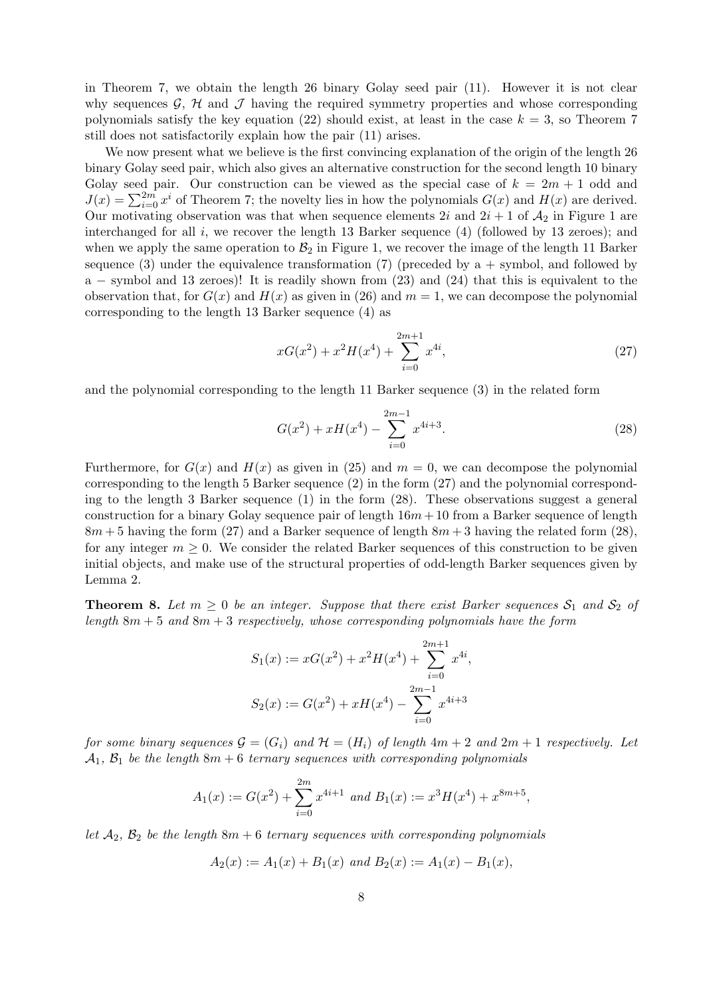in Theorem 7, we obtain the length 26 binary Golay seed pair (11). However it is not clear why sequences  $\mathcal{G}, \mathcal{H}$  and  $\mathcal{J}$  having the required symmetry properties and whose corresponding polynomials satisfy the key equation (22) should exist, at least in the case  $k = 3$ , so Theorem 7 still does not satisfactorily explain how the pair (11) arises.

We now present what we believe is the first convincing explanation of the origin of the length 26 binary Golay seed pair, which also gives an alternative construction for the second length 10 binary Golay seed pair. Our construction can be viewed as the special case of  $k = 2m + 1$  odd and  $J(x) = \sum_{i=0}^{2m} x^i$  of Theorem 7; the novelty lies in how the polynomials  $G(x)$  and  $H(x)$  are derived. Our motivating observation was that when sequence elements 2i and  $2i + 1$  of  $\mathcal{A}_2$  in Figure 1 are interchanged for all  $i$ , we recover the length 13 Barker sequence (4) (followed by 13 zeroes); and when we apply the same operation to  $\mathcal{B}_2$  in Figure 1, we recover the image of the length 11 Barker sequence (3) under the equivalence transformation (7) (preceded by  $a + symbol$ , and followed by a − symbol and 13 zeroes)! It is readily shown from (23) and (24) that this is equivalent to the observation that, for  $G(x)$  and  $H(x)$  as given in (26) and  $m = 1$ , we can decompose the polynomial corresponding to the length 13 Barker sequence (4) as

$$
xG(x^{2}) + x^{2}H(x^{4}) + \sum_{i=0}^{2m+1} x^{4i}, \qquad (27)
$$

and the polynomial corresponding to the length 11 Barker sequence (3) in the related form

$$
G(x^{2}) + xH(x^{4}) - \sum_{i=0}^{2m-1} x^{4i+3}.
$$
\n(28)

Furthermore, for  $G(x)$  and  $H(x)$  as given in (25) and  $m = 0$ , we can decompose the polynomial corresponding to the length 5 Barker sequence (2) in the form (27) and the polynomial corresponding to the length 3 Barker sequence (1) in the form (28). These observations suggest a general construction for a binary Golay sequence pair of length  $16m + 10$  from a Barker sequence of length  $8m + 5$  having the form (27) and a Barker sequence of length  $8m + 3$  having the related form (28), for any integer  $m \geq 0$ . We consider the related Barker sequences of this construction to be given initial objects, and make use of the structural properties of odd-length Barker sequences given by Lemma 2.

**Theorem 8.** Let  $m \geq 0$  be an integer. Suppose that there exist Barker sequences  $S_1$  and  $S_2$  of length  $8m + 5$  and  $8m + 3$  respectively, whose corresponding polynomials have the form

$$
S_1(x) := xG(x^2) + x^2H(x^4) + \sum_{i=0}^{2m+1} x^{4i},
$$
  

$$
S_2(x) := G(x^2) + xH(x^4) - \sum_{i=0}^{2m-1} x^{4i+3}
$$

for some binary sequences  $\mathcal{G} = (G_i)$  and  $\mathcal{H} = (H_i)$  of length  $4m + 2$  and  $2m + 1$  respectively. Let  $\mathcal{A}_1, \mathcal{B}_1$  be the length  $8m + 6$  ternary sequences with corresponding polynomials

$$
A_1(x) := G(x^2) + \sum_{i=0}^{2m} x^{4i+1} \text{ and } B_1(x) := x^3 H(x^4) + x^{8m+5},
$$

let  $A_2$ ,  $B_2$  be the length  $8m + 6$  ternary sequences with corresponding polynomials

$$
A_2(x) := A_1(x) + B_1(x)
$$
 and  $B_2(x) := A_1(x) - B_1(x)$ ,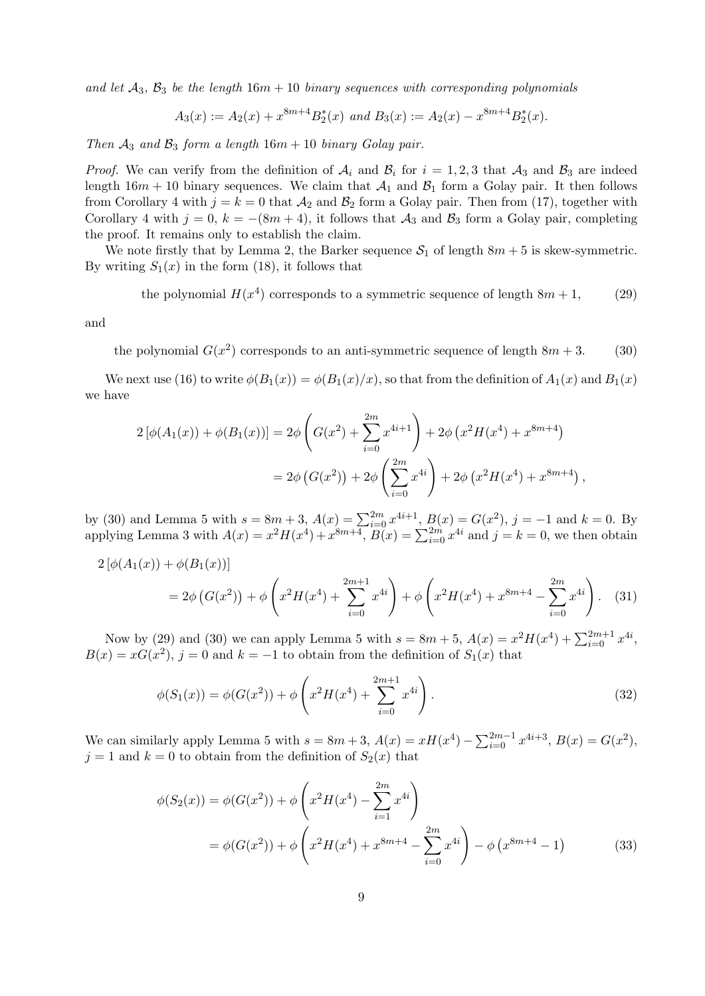and let  $\mathcal{A}_3$ ,  $\mathcal{B}_3$  be the length 16m + 10 binary sequences with corresponding polynomials

$$
A_3(x) := A_2(x) + x^{8m+4} B_2^*(x)
$$
 and  $B_3(x) := A_2(x) - x^{8m+4} B_2^*(x)$ .

Then  $A_3$  and  $B_3$  form a length  $16m + 10$  binary Golay pair.

*Proof.* We can verify from the definition of  $A_i$  and  $B_i$  for  $i = 1, 2, 3$  that  $A_3$  and  $B_3$  are indeed length  $16m + 10$  binary sequences. We claim that  $\mathcal{A}_1$  and  $\mathcal{B}_1$  form a Golay pair. It then follows from Corollary 4 with  $j = k = 0$  that  $\mathcal{A}_2$  and  $\mathcal{B}_2$  form a Golay pair. Then from (17), together with Corollary 4 with  $j = 0$ ,  $k = -(8m + 4)$ , it follows that  $\mathcal{A}_3$  and  $\mathcal{B}_3$  form a Golay pair, completing the proof. It remains only to establish the claim.

We note firstly that by Lemma 2, the Barker sequence  $S_1$  of length  $8m + 5$  is skew-symmetric. By writing  $S_1(x)$  in the form (18), it follows that

the polynomial  $H(x^4)$  corresponds to a symmetric sequence of length  $8m + 1$ , (29)

and

the polynomial  $G(x^2)$  corresponds to an anti-symmetric sequence of length  $8m + 3$ . (30)

We next use (16) to write  $\phi(B_1(x)) = \phi(B_1(x)/x)$ , so that from the definition of  $A_1(x)$  and  $B_1(x)$ we have

$$
2\left[\phi(A_1(x)) + \phi(B_1(x))\right] = 2\phi \left(G(x^2) + \sum_{i=0}^{2m} x^{4i+1}\right) + 2\phi \left(x^2 H(x^4) + x^{8m+4}\right)
$$

$$
= 2\phi \left(G(x^2)\right) + 2\phi \left(\sum_{i=0}^{2m} x^{4i}\right) + 2\phi \left(x^2 H(x^4) + x^{8m+4}\right),
$$

by (30) and Lemma 5 with  $s = 8m + 3$ ,  $A(x) = \sum_{i=0}^{2m} x^{4i+1}$ ,  $B(x) = G(x^2)$ ,  $j = -1$  and  $k = 0$ . By applying Lemma 3 with  $A(x) = x^2 H(x^4) + x^{8m+4}$ ,  $B(x) = \sum_{i=0}^{2m} x^{4i}$  and  $j = k = 0$ , we then obtain

$$
2\left[\phi(A_1(x)) + \phi(B_1(x))\right]
$$
  
=  $2\phi\left(G(x^2)\right) + \phi\left(x^2H(x^4) + \sum_{i=0}^{2m+1} x^{4i}\right) + \phi\left(x^2H(x^4) + x^{8m+4} - \sum_{i=0}^{2m} x^{4i}\right).$  (31)

Now by (29) and (30) we can apply Lemma 5 with  $s = 8m + 5$ ,  $A(x) = x^2 H(x^4) + \sum_{i=0}^{2m+1} x^{4i}$ ,  $B(x) = xG(x^2)$ ,  $j = 0$  and  $k = -1$  to obtain from the definition of  $S_1(x)$  that

$$
\phi(S_1(x)) = \phi(G(x^2)) + \phi\left(x^2 H(x^4) + \sum_{i=0}^{2m+1} x^{4i}\right).
$$
\n(32)

We can similarly apply Lemma 5 with  $s = 8m + 3$ ,  $A(x) = xH(x^4) - \sum_{i=0}^{2m-1} x^{4i+3}$ ,  $B(x) = G(x^2)$ ,  $j = 1$  and  $k = 0$  to obtain from the definition of  $S_2(x)$  that

$$
\phi(S_2(x)) = \phi(G(x^2)) + \phi\left(x^2 H(x^4) - \sum_{i=1}^{2m} x^{4i}\right)
$$
  
=  $\phi(G(x^2)) + \phi\left(x^2 H(x^4) + x^{8m+4} - \sum_{i=0}^{2m} x^{4i}\right) - \phi\left(x^{8m+4} - 1\right)$  (33)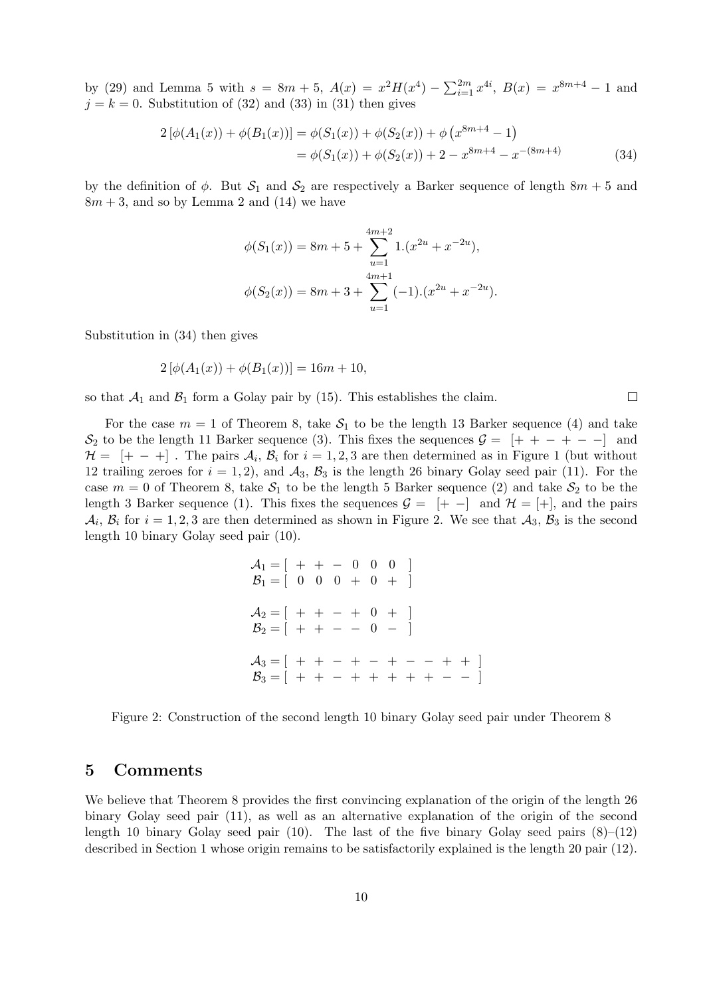by (29) and Lemma 5 with  $s = 8m + 5$ ,  $A(x) = x^2H(x^4) - \sum_{i=1}^{2m} x^{4i}$ ,  $B(x) = x^{8m+4} - 1$  and  $j = k = 0$ . Substitution of (32) and (33) in (31) then gives

$$
2\left[\phi(A_1(x)) + \phi(B_1(x))\right] = \phi(S_1(x)) + \phi(S_2(x)) + \phi(x^{8m+4} - 1)
$$
  
=  $\phi(S_1(x)) + \phi(S_2(x)) + 2 - x^{8m+4} - x^{-(8m+4)}$  (34)

 $\Box$ 

by the definition of  $\phi$ . But  $S_1$  and  $S_2$  are respectively a Barker sequence of length  $8m + 5$  and  $8m + 3$ , and so by Lemma 2 and (14) we have

$$
\phi(S_1(x)) = 8m + 5 + \sum_{u=1}^{4m+2} 1.(x^{2u} + x^{-2u}),
$$
  

$$
\phi(S_2(x)) = 8m + 3 + \sum_{u=1}^{4m+1} (-1).(x^{2u} + x^{-2u}).
$$

Substitution in (34) then gives

$$
2\left[\phi(A_1(x)) + \phi(B_1(x))\right] = 16m + 10,
$$

so that  $A_1$  and  $B_1$  form a Golay pair by (15). This establishes the claim.

For the case  $m = 1$  of Theorem 8, take  $S_1$  to be the length 13 Barker sequence (4) and take  $S_2$  to be the length 11 Barker sequence (3). This fixes the sequences  $\mathcal{G} = [+ + - + -]$  and  $\mathcal{H} = [+ - +]$ . The pairs  $\mathcal{A}_i$ ,  $\mathcal{B}_i$  for  $i = 1, 2, 3$  are then determined as in Figure 1 (but without 12 trailing zeroes for  $i = 1, 2$ , and  $\mathcal{A}_3$ ,  $\mathcal{B}_3$  is the length 26 binary Golay seed pair (11). For the case  $m = 0$  of Theorem 8, take  $S_1$  to be the length 5 Barker sequence (2) and take  $S_2$  to be the length 3 Barker sequence (1). This fixes the sequences  $\mathcal{G} = [+ -]$  and  $\mathcal{H} = [+]$ , and the pairs  $\mathcal{A}_i$ ,  $\mathcal{B}_i$  for  $i = 1, 2, 3$  are then determined as shown in Figure 2. We see that  $\mathcal{A}_3$ ,  $\mathcal{B}_3$  is the second length 10 binary Golay seed pair (10).

$$
\mathcal{A}_1 = [ + - 0 0 0 ]
$$
  
\n
$$
\mathcal{B}_1 = [ 0 0 0 + 0 + ]
$$
  
\n
$$
\mathcal{A}_2 = [ + - + - + 0 + ]
$$
  
\n
$$
\mathcal{B}_2 = [ + - - - - - - - + + ]
$$
  
\n
$$
\mathcal{A}_3 = [ + - - + - - - - + + + ]
$$
  
\n
$$
\mathcal{B}_3 = [ + - - + - + + + + - - - ]
$$

Figure 2: Construction of the second length 10 binary Golay seed pair under Theorem 8

## 5 Comments

We believe that Theorem 8 provides the first convincing explanation of the origin of the length 26 binary Golay seed pair (11), as well as an alternative explanation of the origin of the second length 10 binary Golay seed pair (10). The last of the five binary Golay seed pairs  $(8)-(12)$ described in Section 1 whose origin remains to be satisfactorily explained is the length 20 pair (12).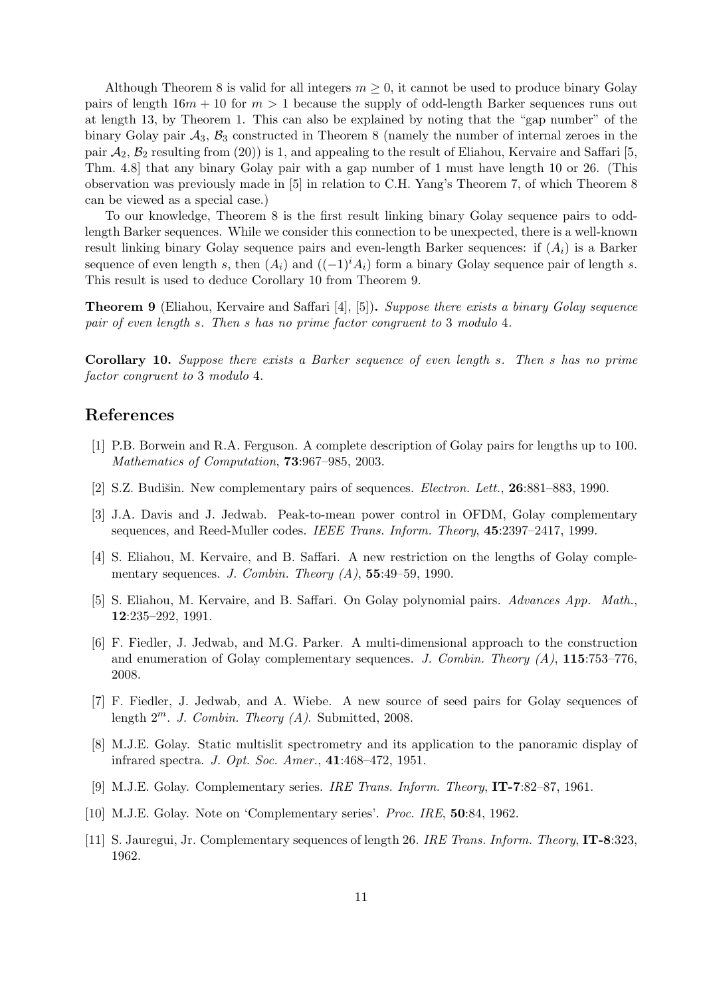Although Theorem 8 is valid for all integers  $m \geq 0$ , it cannot be used to produce binary Golay pairs of length  $16m + 10$  for  $m > 1$  because the supply of odd-length Barker sequences runs out at length 13, by Theorem 1. This can also be explained by noting that the "gap number" of the binary Golay pair  $A_3$ ,  $B_3$  constructed in Theorem 8 (namely the number of internal zeroes in the pair  $\mathcal{A}_2$ ,  $\mathcal{B}_2$  resulting from (20)) is 1, and appealing to the result of Eliahou, Kervaire and Saffari [5, Thm. 4.8] that any binary Golay pair with a gap number of 1 must have length 10 or 26. (This observation was previously made in [5] in relation to C.H. Yang's Theorem 7, of which Theorem 8 can be viewed as a special case.)

To our knowledge, Theorem 8 is the first result linking binary Golay sequence pairs to oddlength Barker sequences. While we consider this connection to be unexpected, there is a well-known result linking binary Golay sequence pairs and even-length Barker sequences: if  $(A_i)$  is a Barker sequence of even length s, then  $(A_i)$  and  $((-1)^i A_i)$  form a binary Golay sequence pair of length s. This result is used to deduce Corollary 10 from Theorem 9.

**Theorem 9** (Eliahou, Kervaire and Saffari [4], [5]). Suppose there exists a binary Golay sequence pair of even length s. Then s has no prime factor congruent to 3 modulo 4.

Corollary 10. Suppose there exists a Barker sequence of even length s. Then s has no prime factor congruent to 3 modulo 4.

# References

- [1] P.B. Borwein and R.A. Ferguson. A complete description of Golay pairs for lengths up to 100. Mathematics of Computation, 73:967–985, 2003.
- [2] S.Z. Budišin. New complementary pairs of sequences. *Electron. Lett.*, **26**:881–883, 1990.
- [3] J.A. Davis and J. Jedwab. Peak-to-mean power control in OFDM, Golay complementary sequences, and Reed-Muller codes. IEEE Trans. Inform. Theory, 45:2397–2417, 1999.
- [4] S. Eliahou, M. Kervaire, and B. Saffari. A new restriction on the lengths of Golay complementary sequences. J. Combin. Theory  $(A)$ , 55:49-59, 1990.
- [5] S. Eliahou, M. Kervaire, and B. Saffari. On Golay polynomial pairs. Advances App. Math., 12:235–292, 1991.
- [6] F. Fiedler, J. Jedwab, and M.G. Parker. A multi-dimensional approach to the construction and enumeration of Golay complementary sequences. J. Combin. Theory  $(A)$ , 115:753–776, 2008.
- [7] F. Fiedler, J. Jedwab, and A. Wiebe. A new source of seed pairs for Golay sequences of length  $2^m$ . J. Combin. Theory (A). Submitted, 2008.
- [8] M.J.E. Golay. Static multislit spectrometry and its application to the panoramic display of infrared spectra. J. Opt. Soc. Amer., 41:468–472, 1951.
- [9] M.J.E. Golay. Complementary series. IRE Trans. Inform. Theory, IT-7:82–87, 1961.
- [10] M.J.E. Golay. Note on 'Complementary series'. Proc. IRE, **50**:84, 1962.
- [11] S. Jauregui, Jr. Complementary sequences of length 26. IRE Trans. Inform. Theory, IT-8:323, 1962.